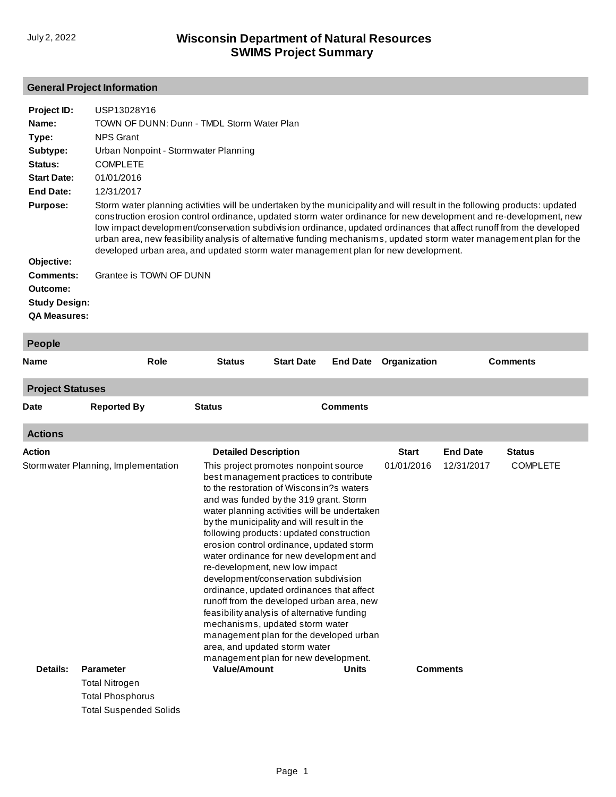### **General Project Information**

| Project ID:<br>Name:<br>Type:<br>Subtype:<br>Status:<br><b>Start Date:</b><br><b>End Date:</b><br><b>Purpose:</b><br>Objective:<br><b>Comments:</b><br><b>Outcome:</b><br><b>Study Design:</b><br><b>QA Measures:</b> | USP13028Y16<br>TOWN OF DUNN: Dunn - TMDL Storm Water Plan<br><b>NPS Grant</b><br>Urban Nonpoint - Stormwater Planning<br><b>COMPLETE</b><br>01/01/2016<br>12/31/2017<br>Storm water planning activities will be undertaken by the municipality and will result in the following products: updated<br>construction erosion control ordinance, updated storm water ordinance for new development and re-development, new<br>low impact development/conservation subdivision ordinance, updated ordinances that affect runoff from the developed<br>urban area, new feasibility analysis of alternative funding mechanisms, updated storm water management plan for the<br>developed urban area, and updated storm water management plan for new development.<br>Grantee is TOWN OF DUNN |                                                                                                                                                                                                                                                                                                                                                                                                                                                                                                                                                                                                                                                                                                                                                                                   |                   |                 |              |                 |                 |
|-----------------------------------------------------------------------------------------------------------------------------------------------------------------------------------------------------------------------|---------------------------------------------------------------------------------------------------------------------------------------------------------------------------------------------------------------------------------------------------------------------------------------------------------------------------------------------------------------------------------------------------------------------------------------------------------------------------------------------------------------------------------------------------------------------------------------------------------------------------------------------------------------------------------------------------------------------------------------------------------------------------------------|-----------------------------------------------------------------------------------------------------------------------------------------------------------------------------------------------------------------------------------------------------------------------------------------------------------------------------------------------------------------------------------------------------------------------------------------------------------------------------------------------------------------------------------------------------------------------------------------------------------------------------------------------------------------------------------------------------------------------------------------------------------------------------------|-------------------|-----------------|--------------|-----------------|-----------------|
| People                                                                                                                                                                                                                |                                                                                                                                                                                                                                                                                                                                                                                                                                                                                                                                                                                                                                                                                                                                                                                       |                                                                                                                                                                                                                                                                                                                                                                                                                                                                                                                                                                                                                                                                                                                                                                                   |                   |                 |              |                 |                 |
| <b>Name</b>                                                                                                                                                                                                           | Role                                                                                                                                                                                                                                                                                                                                                                                                                                                                                                                                                                                                                                                                                                                                                                                  | <b>Status</b>                                                                                                                                                                                                                                                                                                                                                                                                                                                                                                                                                                                                                                                                                                                                                                     | <b>Start Date</b> | <b>End Date</b> | Organization |                 | <b>Comments</b> |
| <b>Project Statuses</b>                                                                                                                                                                                               |                                                                                                                                                                                                                                                                                                                                                                                                                                                                                                                                                                                                                                                                                                                                                                                       |                                                                                                                                                                                                                                                                                                                                                                                                                                                                                                                                                                                                                                                                                                                                                                                   |                   |                 |              |                 |                 |
| Date                                                                                                                                                                                                                  | <b>Reported By</b>                                                                                                                                                                                                                                                                                                                                                                                                                                                                                                                                                                                                                                                                                                                                                                    | <b>Status</b>                                                                                                                                                                                                                                                                                                                                                                                                                                                                                                                                                                                                                                                                                                                                                                     |                   | <b>Comments</b> |              |                 |                 |
| <b>Actions</b>                                                                                                                                                                                                        |                                                                                                                                                                                                                                                                                                                                                                                                                                                                                                                                                                                                                                                                                                                                                                                       |                                                                                                                                                                                                                                                                                                                                                                                                                                                                                                                                                                                                                                                                                                                                                                                   |                   |                 |              |                 |                 |
| Action                                                                                                                                                                                                                |                                                                                                                                                                                                                                                                                                                                                                                                                                                                                                                                                                                                                                                                                                                                                                                       | <b>Detailed Description</b>                                                                                                                                                                                                                                                                                                                                                                                                                                                                                                                                                                                                                                                                                                                                                       |                   |                 | <b>Start</b> | <b>End Date</b> | <b>Status</b>   |
|                                                                                                                                                                                                                       | Stormwater Planning, Implementation                                                                                                                                                                                                                                                                                                                                                                                                                                                                                                                                                                                                                                                                                                                                                   | This project promotes nonpoint source<br>best management practices to contribute<br>to the restoration of Wisconsin?s waters<br>and was funded by the 319 grant. Storm<br>water planning activities will be undertaken<br>by the municipality and will result in the<br>following products: updated construction<br>erosion control ordinance, updated storm<br>water ordinance for new development and<br>re-development, new low impact<br>development/conservation subdivision<br>ordinance, updated ordinances that affect<br>runoff from the developed urban area, new<br>feasibility analysis of alternative funding<br>mechanisms, updated storm water<br>management plan for the developed urban<br>area, and updated storm water<br>management plan for new development. |                   |                 | 01/01/2016   | 12/31/2017      | <b>COMPLETE</b> |
| Details:                                                                                                                                                                                                              | <b>Parameter</b>                                                                                                                                                                                                                                                                                                                                                                                                                                                                                                                                                                                                                                                                                                                                                                      | <b>Value/Amount</b>                                                                                                                                                                                                                                                                                                                                                                                                                                                                                                                                                                                                                                                                                                                                                               |                   | Units           |              | <b>Comments</b> |                 |
|                                                                                                                                                                                                                       | <b>Total Nitrogen</b>                                                                                                                                                                                                                                                                                                                                                                                                                                                                                                                                                                                                                                                                                                                                                                 |                                                                                                                                                                                                                                                                                                                                                                                                                                                                                                                                                                                                                                                                                                                                                                                   |                   |                 |              |                 |                 |
|                                                                                                                                                                                                                       | <b>Total Phosphorus</b>                                                                                                                                                                                                                                                                                                                                                                                                                                                                                                                                                                                                                                                                                                                                                               |                                                                                                                                                                                                                                                                                                                                                                                                                                                                                                                                                                                                                                                                                                                                                                                   |                   |                 |              |                 |                 |
|                                                                                                                                                                                                                       | <b>Total Suspended Solids</b>                                                                                                                                                                                                                                                                                                                                                                                                                                                                                                                                                                                                                                                                                                                                                         |                                                                                                                                                                                                                                                                                                                                                                                                                                                                                                                                                                                                                                                                                                                                                                                   |                   |                 |              |                 |                 |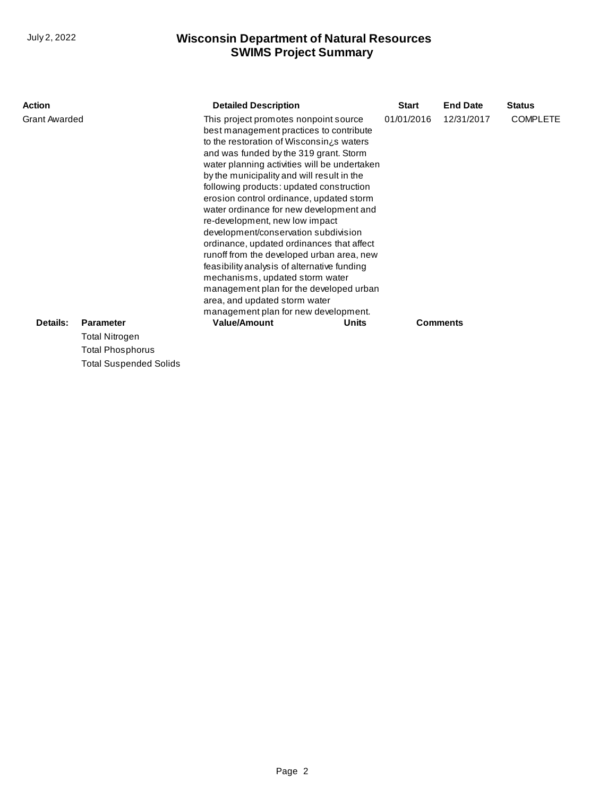| <b>Action</b>        |                               | <b>Detailed Description</b>                                                                                                                                                                                                                                                                                                                                                                                                                                                                                                                                                                                                                                                                                                                                                        | <b>Start</b> | <b>End Date</b> | <b>Status</b>   |
|----------------------|-------------------------------|------------------------------------------------------------------------------------------------------------------------------------------------------------------------------------------------------------------------------------------------------------------------------------------------------------------------------------------------------------------------------------------------------------------------------------------------------------------------------------------------------------------------------------------------------------------------------------------------------------------------------------------------------------------------------------------------------------------------------------------------------------------------------------|--------------|-----------------|-----------------|
| <b>Grant Awarded</b> |                               | This project promotes nonpoint source<br>best management practices to contribute<br>to the restoration of Wisconsin is waters<br>and was funded by the 319 grant. Storm<br>water planning activities will be undertaken<br>by the municipality and will result in the<br>following products: updated construction<br>erosion control ordinance, updated storm<br>water ordinance for new development and<br>re-development, new low impact<br>development/conservation subdivision<br>ordinance, updated ordinances that affect<br>runoff from the developed urban area, new<br>feasibility analysis of alternative funding<br>mechanisms, updated storm water<br>management plan for the developed urban<br>area, and updated storm water<br>management plan for new development. | 01/01/2016   | 12/31/2017      | <b>COMPLETE</b> |
| Details:             | <b>Parameter</b>              | <b>Value/Amount</b><br>Units                                                                                                                                                                                                                                                                                                                                                                                                                                                                                                                                                                                                                                                                                                                                                       |              | <b>Comments</b> |                 |
|                      | <b>Total Nitrogen</b>         |                                                                                                                                                                                                                                                                                                                                                                                                                                                                                                                                                                                                                                                                                                                                                                                    |              |                 |                 |
|                      | <b>Total Phosphorus</b>       |                                                                                                                                                                                                                                                                                                                                                                                                                                                                                                                                                                                                                                                                                                                                                                                    |              |                 |                 |
|                      | <b>Total Suspended Solids</b> |                                                                                                                                                                                                                                                                                                                                                                                                                                                                                                                                                                                                                                                                                                                                                                                    |              |                 |                 |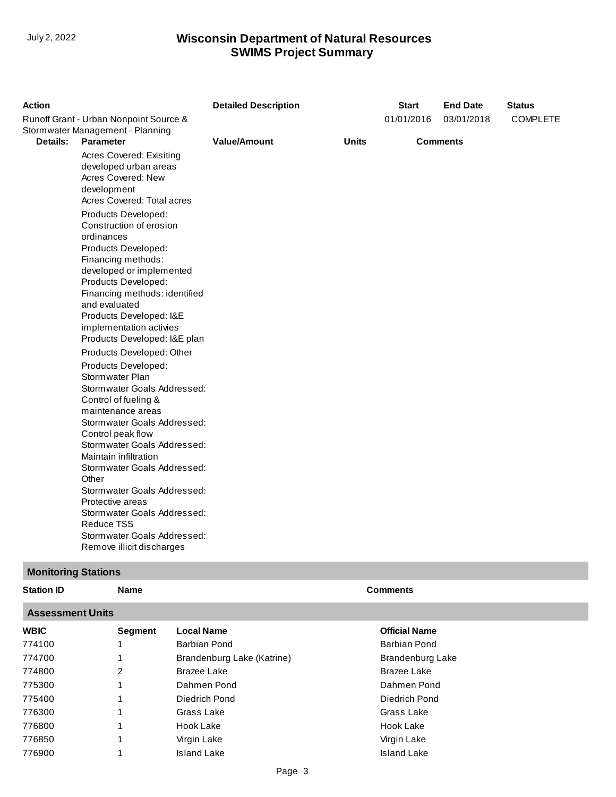| <b>Action</b>   |                                                                                                                      | <b>Detailed Description</b> |              | <b>Start</b>    | <b>End Date</b> | <b>Status</b>   |
|-----------------|----------------------------------------------------------------------------------------------------------------------|-----------------------------|--------------|-----------------|-----------------|-----------------|
|                 | Runoff Grant - Urban Nonpoint Source &                                                                               |                             |              | 01/01/2016      | 03/01/2018      | <b>COMPLETE</b> |
|                 | Stormwater Management - Planning                                                                                     |                             |              |                 |                 |                 |
| <b>Details:</b> | <b>Parameter</b>                                                                                                     | <b>Value/Amount</b>         | <b>Units</b> | <b>Comments</b> |                 |                 |
|                 | Acres Covered: Exisiting<br>developed urban areas<br>Acres Covered: New<br>development<br>Acres Covered: Total acres |                             |              |                 |                 |                 |
|                 | Products Developed:<br>Construction of erosion<br>ordinances<br>Products Developed:<br>Financing methods:            |                             |              |                 |                 |                 |
|                 | developed or implemented<br>Products Developed:<br>Financing methods: identified                                     |                             |              |                 |                 |                 |
|                 | and evaluated                                                                                                        |                             |              |                 |                 |                 |
|                 | Products Developed: I&E                                                                                              |                             |              |                 |                 |                 |
|                 | implementation activies<br>Products Developed: I&E plan                                                              |                             |              |                 |                 |                 |
|                 | Products Developed: Other                                                                                            |                             |              |                 |                 |                 |
|                 | Products Developed:                                                                                                  |                             |              |                 |                 |                 |
|                 | Stormwater Plan<br>Stormwater Goals Addressed:                                                                       |                             |              |                 |                 |                 |
|                 | Control of fueling &                                                                                                 |                             |              |                 |                 |                 |
|                 | maintenance areas                                                                                                    |                             |              |                 |                 |                 |
|                 | Stormwater Goals Addressed:                                                                                          |                             |              |                 |                 |                 |
|                 | Control peak flow<br>Stormwater Goals Addressed:                                                                     |                             |              |                 |                 |                 |
|                 | Maintain infiltration                                                                                                |                             |              |                 |                 |                 |
|                 | Stormwater Goals Addressed:<br>Other                                                                                 |                             |              |                 |                 |                 |
|                 | Stormwater Goals Addressed:                                                                                          |                             |              |                 |                 |                 |
|                 | Protective areas                                                                                                     |                             |              |                 |                 |                 |
|                 | Stormwater Goals Addressed:<br><b>Reduce TSS</b>                                                                     |                             |              |                 |                 |                 |
|                 | Stormwater Goals Addressed:                                                                                          |                             |              |                 |                 |                 |
|                 | Remove illicit discharges                                                                                            |                             |              |                 |                 |                 |

## **Monitoring Stations**

| <b>Station ID</b> | Name | <b>Comments</b> |
|-------------------|------|-----------------|
|                   |      |                 |

#### **Assessment Units**

| AJJUJJIIUIIL UIIILJ |                |                            |                      |
|---------------------|----------------|----------------------------|----------------------|
| <b>WBIC</b>         | <b>Segment</b> | <b>Local Name</b>          | <b>Official Name</b> |
| 774100              |                | Barbian Pond               | Barbian Pond         |
| 774700              |                | Brandenburg Lake (Katrine) | Brandenburg Lake     |
| 774800              | 2              | Brazee Lake                | Brazee Lake          |
| 775300              |                | Dahmen Pond                | Dahmen Pond          |
| 775400              |                | Diedrich Pond              | Diedrich Pond        |
| 776300              |                | Grass Lake                 | Grass Lake           |
| 776800              |                | Hook Lake                  | Hook Lake            |
| 776850              |                | Virgin Lake                | Virgin Lake          |
| 776900              |                | <b>Island Lake</b>         | <b>Island Lake</b>   |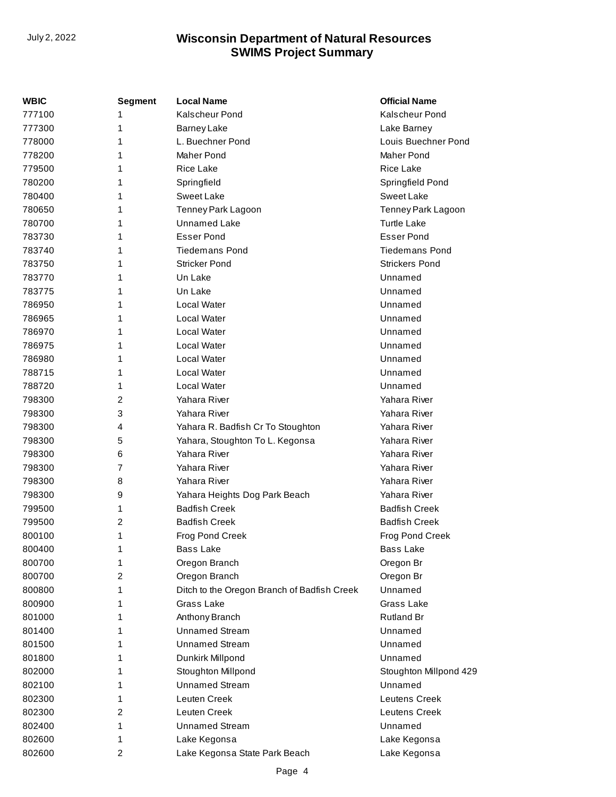| WBIC   | <b>Segment</b> | <b>Local Name</b>                           | <b>Official Name</b>   |
|--------|----------------|---------------------------------------------|------------------------|
| 777100 | 1              | Kalscheur Pond                              | <b>Kalscheur Pond</b>  |
| 777300 | 1              | <b>Barney Lake</b>                          | Lake Barney            |
| 778000 | 1              | L. Buechner Pond                            | Louis Buechner Pond    |
| 778200 | 1              | <b>Maher Pond</b>                           | Maher Pond             |
| 779500 | 1              | <b>Rice Lake</b>                            | <b>Rice Lake</b>       |
| 780200 | 1              | Springfield                                 | Springfield Pond       |
| 780400 | 1              | Sweet Lake                                  | Sweet Lake             |
| 780650 | 1              | Tenney Park Lagoon                          | Tenney Park Lagoon     |
| 780700 | 1              | <b>Unnamed Lake</b>                         | <b>Turtle Lake</b>     |
| 783730 | 1              | <b>Esser Pond</b>                           | <b>Esser Pond</b>      |
| 783740 | 1              | <b>Tiedemans Pond</b>                       | <b>Tiedemans Pond</b>  |
| 783750 | 1              | <b>Stricker Pond</b>                        | <b>Strickers Pond</b>  |
| 783770 | 1              | Un Lake                                     | Unnamed                |
| 783775 | 1              | Un Lake                                     | Unnamed                |
| 786950 | 1              | Local Water                                 | Unnamed                |
| 786965 | 1              | Local Water                                 | Unnamed                |
| 786970 | 1              | Local Water                                 | Unnamed                |
| 786975 | 1              | Local Water                                 | Unnamed                |
| 786980 | 1              | Local Water                                 | Unnamed                |
| 788715 | 1              | Local Water                                 | Unnamed                |
| 788720 | 1              | Local Water                                 | Unnamed                |
| 798300 | 2              | Yahara River                                | Yahara River           |
| 798300 | 3              | Yahara River                                | Yahara River           |
| 798300 | 4              | Yahara R. Badfish Cr To Stoughton           | Yahara River           |
| 798300 | 5              | Yahara, Stoughton To L. Kegonsa             | Yahara River           |
| 798300 | 6              | Yahara River                                | Yahara River           |
| 798300 | 7              | Yahara River                                | Yahara River           |
| 798300 | 8              | Yahara River                                | Yahara River           |
| 798300 | 9              | Yahara Heights Dog Park Beach               | Yahara River           |
| 799500 | 1              | <b>Badfish Creek</b>                        | <b>Badfish Creek</b>   |
| 799500 | 2              | <b>Badfish Creek</b>                        | <b>Badfish Creek</b>   |
| 800100 | 1              | Frog Pond Creek                             | Frog Pond Creek        |
| 800400 | 1              | <b>Bass Lake</b>                            | <b>Bass Lake</b>       |
| 800700 | 1              | Oregon Branch                               | Oregon Br              |
| 800700 | 2              | Oregon Branch                               | Oregon Br              |
| 800800 | 1              | Ditch to the Oregon Branch of Badfish Creek | Unnamed                |
| 800900 | 1              | Grass Lake                                  | Grass Lake             |
| 801000 | 1              | Anthony Branch                              | <b>Rutland Br</b>      |
| 801400 | 1              | <b>Unnamed Stream</b>                       | Unnamed                |
| 801500 | 1              | <b>Unnamed Stream</b>                       | Unnamed                |
| 801800 | 1              | Dunkirk Millpond                            | Unnamed                |
| 802000 | 1              | Stoughton Millpond                          | Stoughton Millpond 429 |
| 802100 | 1              | <b>Unnamed Stream</b>                       | Unnamed                |
| 802300 | 1              | Leuten Creek                                | <b>Leutens Creek</b>   |
| 802300 | 2              | Leuten Creek                                | <b>Leutens Creek</b>   |
| 802400 | 1              | <b>Unnamed Stream</b>                       | Unnamed                |
| 802600 | 1              | Lake Kegonsa                                | Lake Kegonsa           |
| 802600 | $\overline{c}$ | Lake Kegonsa State Park Beach               | Lake Kegonsa           |
|        |                |                                             |                        |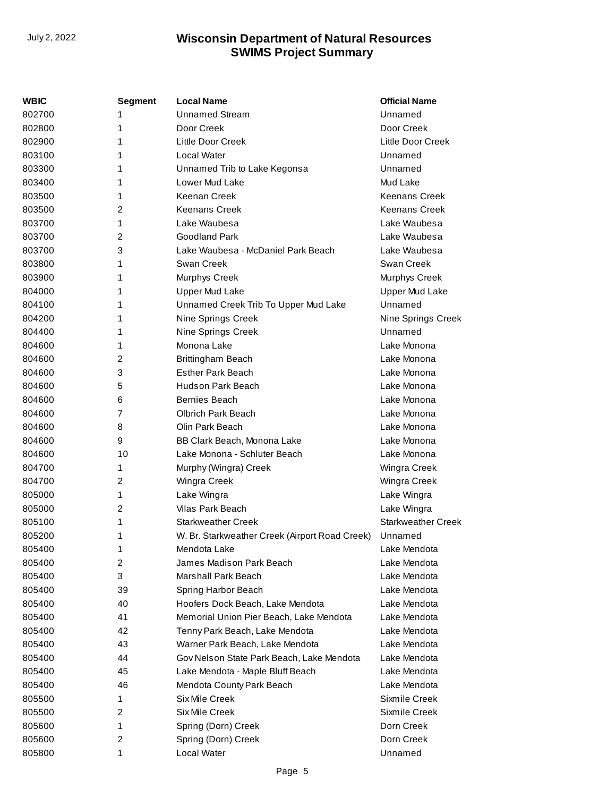| WBIC   | <b>Segment</b> | <b>Local Name</b>                              | <b>Official Name</b>      |
|--------|----------------|------------------------------------------------|---------------------------|
| 802700 | 1              | <b>Unnamed Stream</b>                          | Unnamed                   |
| 802800 | 1              | Door Creek                                     | Door Creek                |
| 802900 | 1              | Little Door Creek                              | Little Door Creek         |
| 803100 | 1              | Local Water                                    | Unnamed                   |
| 803300 | 1              | Unnamed Trib to Lake Kegonsa                   | Unnamed                   |
| 803400 | 1              | Lower Mud Lake                                 | Mud Lake                  |
| 803500 | 1              | Keenan Creek                                   | <b>Keenans Creek</b>      |
| 803500 | 2              | <b>Keenans Creek</b>                           | <b>Keenans Creek</b>      |
| 803700 | 1              | Lake Waubesa                                   | Lake Waubesa              |
| 803700 | 2              | Goodland Park                                  | Lake Waubesa              |
| 803700 | 3              | Lake Waubesa - McDaniel Park Beach             | Lake Waubesa              |
| 803800 | 1              | Swan Creek                                     | Swan Creek                |
| 803900 | 1              | Murphys Creek                                  | Murphys Creek             |
| 804000 | 1              | <b>Upper Mud Lake</b>                          | <b>Upper Mud Lake</b>     |
| 804100 | 1              | Unnamed Creek Trib To Upper Mud Lake           | Unnamed                   |
| 804200 | 1              | Nine Springs Creek                             | Nine Springs Creek        |
| 804400 | 1              | Nine Springs Creek                             | Unnamed                   |
| 804600 | 1              | Monona Lake                                    | Lake Monona               |
| 804600 | 2              | Brittingham Beach                              | Lake Monona               |
| 804600 | 3              | <b>Esther Park Beach</b>                       | Lake Monona               |
| 804600 | 5              | <b>Hudson Park Beach</b>                       | Lake Monona               |
| 804600 | 6              | Bernies Beach                                  | Lake Monona               |
| 804600 | 7              | Olbrich Park Beach                             | Lake Monona               |
| 804600 | 8              | Olin Park Beach                                | Lake Monona               |
| 804600 | 9              | BB Clark Beach, Monona Lake                    | Lake Monona               |
| 804600 | 10             | Lake Monona - Schluter Beach                   | Lake Monona               |
| 804700 | 1              | Murphy (Wingra) Creek                          | Wingra Creek              |
| 804700 | 2              | Wingra Creek                                   | Wingra Creek              |
| 805000 | 1              | Lake Wingra                                    | Lake Wingra               |
| 805000 | $\overline{c}$ | Vilas Park Beach                               | Lake Wingra               |
| 805100 | 1              | Starkweather Creek                             | <b>Starkweather Creek</b> |
| 805200 | 1              | W. Br. Starkweather Creek (Airport Road Creek) | Unnamed                   |
| 805400 | 1              | Mendota Lake                                   | Lake Mendota              |
| 805400 | 2              | James Madison Park Beach                       | Lake Mendota              |
| 805400 | 3              | Marshall Park Beach                            | Lake Mendota              |
| 805400 | 39             | Spring Harbor Beach                            | Lake Mendota              |
| 805400 | 40             | Hoofers Dock Beach, Lake Mendota               | Lake Mendota              |
| 805400 | 41             | Memorial Union Pier Beach, Lake Mendota        | Lake Mendota              |
| 805400 | 42             | Tenny Park Beach, Lake Mendota                 | Lake Mendota              |
| 805400 | 43             | Warner Park Beach, Lake Mendota                | Lake Mendota              |
| 805400 | 44             | Gov Nelson State Park Beach, Lake Mendota      | Lake Mendota              |
| 805400 | 45             | Lake Mendota - Maple Bluff Beach               | Lake Mendota              |
| 805400 | 46             | Mendota County Park Beach                      | Lake Mendota              |
| 805500 | 1              | Six Mile Creek                                 | Sixmile Creek             |
| 805500 | 2              | Six Mile Creek                                 | Sixmile Creek             |
| 805600 | 1              | Spring (Dorn) Creek                            | Dorn Creek                |
| 805600 | 2              | Spring (Dorn) Creek                            | Dorn Creek                |
| 805800 | 1              | Local Water                                    | Unnamed                   |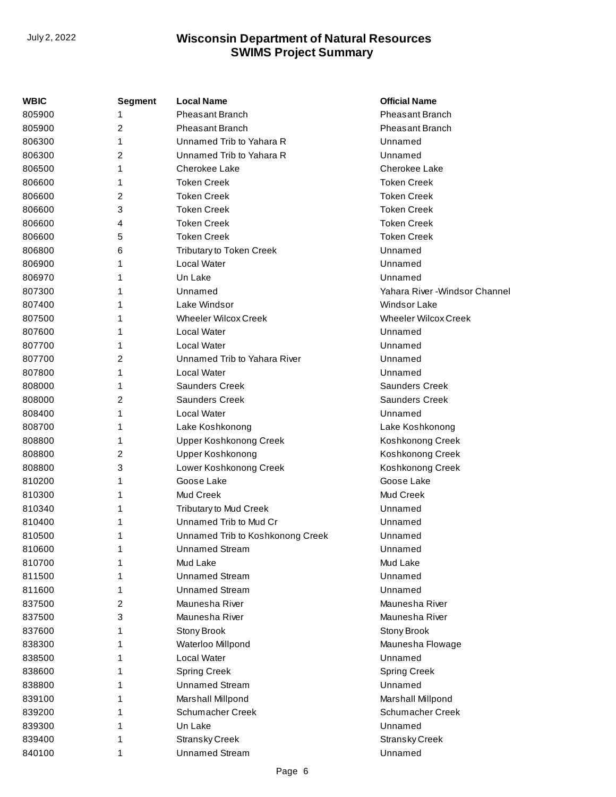| WBIC   | <b>Segment</b> | <b>Local Name</b>                | <b>Official Name</b>           |
|--------|----------------|----------------------------------|--------------------------------|
| 805900 | 1              | <b>Pheasant Branch</b>           | <b>Pheasant Branch</b>         |
| 805900 | 2              | <b>Pheasant Branch</b>           | <b>Pheasant Branch</b>         |
| 806300 | 1              | Unnamed Trib to Yahara R         | Unnamed                        |
| 806300 | 2              | Unnamed Trib to Yahara R         | Unnamed                        |
| 806500 | 1              | Cherokee Lake                    | Cherokee Lake                  |
| 806600 | 1              | <b>Token Creek</b>               | <b>Token Creek</b>             |
| 806600 | 2              | <b>Token Creek</b>               | <b>Token Creek</b>             |
| 806600 | 3              | <b>Token Creek</b>               | <b>Token Creek</b>             |
| 806600 | 4              | <b>Token Creek</b>               | <b>Token Creek</b>             |
| 806600 | 5              | <b>Token Creek</b>               | <b>Token Creek</b>             |
| 806800 | 6              | Tributary to Token Creek         | Unnamed                        |
| 806900 | 1              | Local Water                      | Unnamed                        |
| 806970 | 1              | Un Lake                          | Unnamed                        |
| 807300 | 1              | Unnamed                          | Yahara River - Windsor Channel |
| 807400 | 1              | Lake Windsor                     | <b>Windsor Lake</b>            |
| 807500 | 1              | <b>Wheeler Wilcox Creek</b>      | <b>Wheeler Wilcox Creek</b>    |
| 807600 | 1              | Local Water                      | Unnamed                        |
| 807700 | 1              | Local Water                      | Unnamed                        |
| 807700 | 2              | Unnamed Trib to Yahara River     | Unnamed                        |
| 807800 | 1              | Local Water                      | Unnamed                        |
| 808000 | 1              | <b>Saunders Creek</b>            | <b>Saunders Creek</b>          |
| 808000 | 2              | <b>Saunders Creek</b>            | <b>Saunders Creek</b>          |
| 808400 | 1              | Local Water                      | Unnamed                        |
| 808700 | 1              | Lake Koshkonong                  | Lake Koshkonong                |
| 808800 | 1              | <b>Upper Koshkonong Creek</b>    | Koshkonong Creek               |
| 808800 | 2              | <b>Upper Koshkonong</b>          | Koshkonong Creek               |
| 808800 | 3              | Lower Koshkonong Creek           | Koshkonong Creek               |
| 810200 | 1              | Goose Lake                       | Goose Lake                     |
| 810300 | 1              | Mud Creek                        | Mud Creek                      |
| 810340 | 1              | <b>Tributary to Mud Creek</b>    | Unnamed                        |
| 810400 | 1              | Unnamed Trib to Mud Cr           | Unnamed                        |
| 810500 | 1              | Unnamed Trib to Koshkonong Creek | Unnamed                        |
| 810600 | 1              | Unnamed Stream                   | Unnamed                        |
| 810700 | 1              | Mud Lake                         | Mud Lake                       |
| 811500 | 1              | <b>Unnamed Stream</b>            | Unnamed                        |
| 811600 | 1              | <b>Unnamed Stream</b>            | Unnamed                        |
| 837500 | 2              | Maunesha River                   | Maunesha River                 |
| 837500 | 3              | Maunesha River                   | Maunesha River                 |
| 837600 | 1              | Stony Brook                      | Stony Brook                    |
| 838300 | 1              | Waterloo Millpond                | Maunesha Flowage               |
| 838500 | 1              | Local Water                      | Unnamed                        |
| 838600 | 1              | <b>Spring Creek</b>              | <b>Spring Creek</b>            |
| 838800 | 1              | <b>Unnamed Stream</b>            | Unnamed                        |
| 839100 | 1              | Marshall Millpond                | Marshall Millpond              |
| 839200 | 1              | Schumacher Creek                 | Schumacher Creek               |
| 839300 | 1              | Un Lake                          | Unnamed                        |
| 839400 | 1              | <b>Stransky Creek</b>            | <b>Stransky Creek</b>          |
| 840100 | 1              | <b>Unnamed Stream</b>            | Unnamed                        |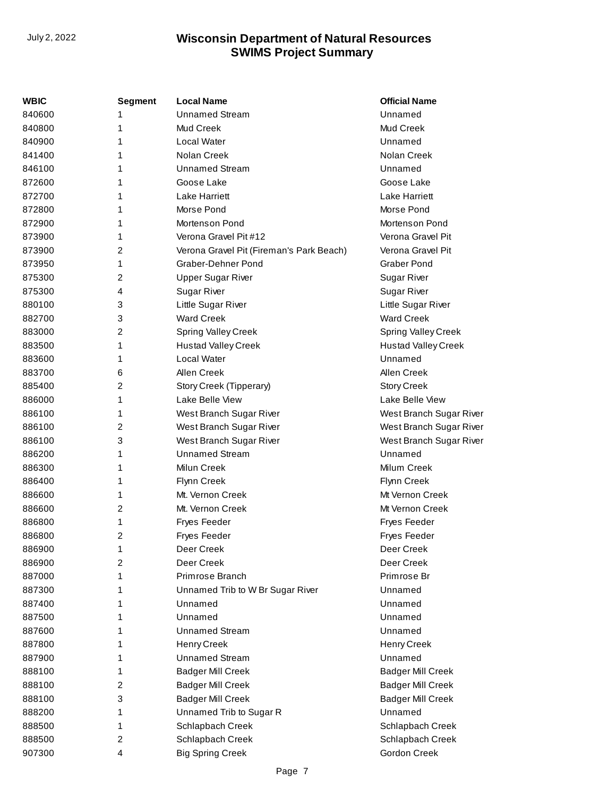| <b>WBIC</b> | <b>Segment</b> | <b>Local Name</b>                        | <b>Official Name</b>       |
|-------------|----------------|------------------------------------------|----------------------------|
| 840600      | 1              | <b>Unnamed Stream</b>                    | Unnamed                    |
| 840800      | 1              | Mud Creek                                | Mud Creek                  |
| 840900      | 1              | Local Water                              | Unnamed                    |
| 841400      | 1              | Nolan Creek                              | Nolan Creek                |
| 846100      | 1              | <b>Unnamed Stream</b>                    | Unnamed                    |
| 872600      | 1              | Goose Lake                               | Goose Lake                 |
| 872700      | 1              | Lake Harriett                            | Lake Harriett              |
| 872800      | 1              | Morse Pond                               | Morse Pond                 |
| 872900      | 1              | Mortenson Pond                           | Mortenson Pond             |
| 873900      | 1              | Verona Gravel Pit #12                    | Verona Gravel Pit          |
| 873900      | 2              | Verona Gravel Pit (Fireman's Park Beach) | Verona Gravel Pit          |
| 873950      | 1              | Graber-Dehner Pond                       | <b>Graber Pond</b>         |
| 875300      | 2              | <b>Upper Sugar River</b>                 | Sugar River                |
| 875300      | 4              | <b>Sugar River</b>                       | <b>Sugar River</b>         |
| 880100      | 3              | Little Sugar River                       | Little Sugar River         |
| 882700      | 3              | <b>Ward Creek</b>                        | <b>Ward Creek</b>          |
| 883000      | 2              | Spring Valley Creek                      | Spring Valley Creek        |
| 883500      | 1              | <b>Hustad Valley Creek</b>               | <b>Hustad Valley Creek</b> |
| 883600      | 1              | Local Water                              | Unnamed                    |
| 883700      | 6              | Allen Creek                              | Allen Creek                |
| 885400      | 2              | Story Creek (Tipperary)                  | <b>Story Creek</b>         |
| 886000      | 1              | Lake Belle View                          | Lake Belle View            |
| 886100      | 1              | West Branch Sugar River                  | West Branch Sugar River    |
| 886100      | 2              | West Branch Sugar River                  | West Branch Sugar River    |
| 886100      | 3              | West Branch Sugar River                  | West Branch Sugar River    |
| 886200      | 1              | <b>Unnamed Stream</b>                    | Unnamed                    |
| 886300      | 1              | Milun Creek                              | Milum Creek                |
| 886400      | 1              | Flynn Creek                              | Flynn Creek                |
| 886600      | 1              | Mt. Vernon Creek                         | Mt Vernon Creek            |
| 886600      | 2              | Mt. Vernon Creek                         | Mt Vernon Creek            |
| 886800      | 1              | <b>Fryes Feeder</b>                      | <b>Fryes Feeder</b>        |
| 886800      | $\overline{c}$ | <b>Fryes Feeder</b>                      | <b>Fryes Feeder</b>        |
| 886900      | 1              | Deer Creek                               | Deer Creek                 |
| 886900      | 2              | Deer Creek                               | Deer Creek                 |
| 887000      | 1              | Primrose Branch                          | Primrose Br                |
| 887300      | 1              | Unnamed Trib to W Br Sugar River         | Unnamed                    |
| 887400      | 1              | Unnamed                                  | Unnamed                    |
| 887500      | 1              | Unnamed                                  | Unnamed                    |
| 887600      | 1              | <b>Unnamed Stream</b>                    | Unnamed                    |
| 887800      | 1              | <b>Henry Creek</b>                       | Henry Creek                |
| 887900      | 1              | <b>Unnamed Stream</b>                    | Unnamed                    |
| 888100      | 1              | <b>Badger Mill Creek</b>                 | <b>Badger Mill Creek</b>   |
| 888100      | 2              | <b>Badger Mill Creek</b>                 | <b>Badger Mill Creek</b>   |
| 888100      | 3              | <b>Badger Mill Creek</b>                 | <b>Badger Mill Creek</b>   |
| 888200      | 1              | Unnamed Trib to Sugar R                  | Unnamed                    |
| 888500      | 1              | Schlapbach Creek                         | Schlapbach Creek           |
| 888500      | 2              | Schlapbach Creek                         | Schlapbach Creek           |
| 907300      | 4              | <b>Big Spring Creek</b>                  | Gordon Creek               |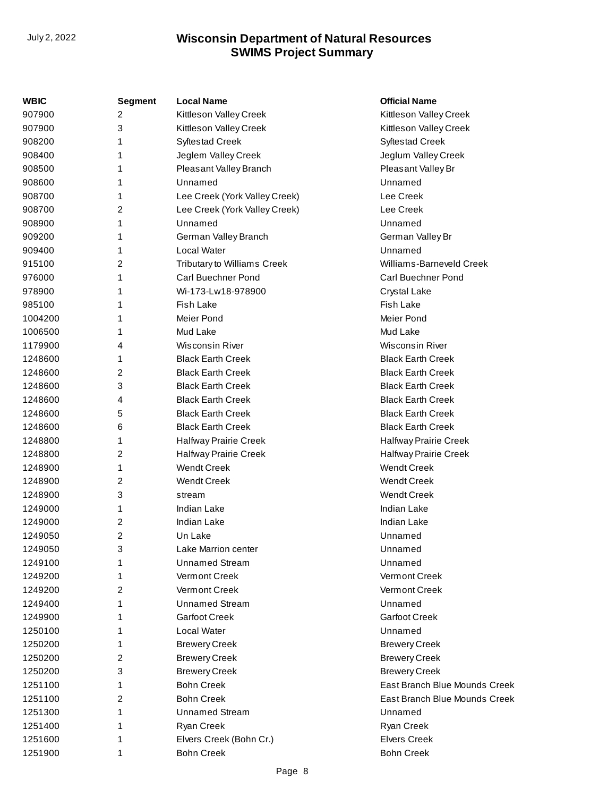| <b>WBIC</b> | <b>Segment</b> | <b>Local Name</b>             | <b>Official Name</b>          |
|-------------|----------------|-------------------------------|-------------------------------|
| 907900      | 2              | Kittleson Valley Creek        | Kittleson Valley Creek        |
| 907900      | 3              | Kittleson Valley Creek        | Kittleson Valley Creek        |
| 908200      | 1              | <b>Syftestad Creek</b>        | <b>Syftestad Creek</b>        |
| 908400      | 1              | Jeglem Valley Creek           | Jeglum Valley Creek           |
| 908500      | 1              | Pleasant Valley Branch        | Pleasant Valley Br            |
| 908600      | 1              | Unnamed                       | Unnamed                       |
| 908700      | 1              | Lee Creek (York Valley Creek) | Lee Creek                     |
| 908700      | 2              | Lee Creek (York Valley Creek) | Lee Creek                     |
| 908900      | 1              | Unnamed                       | Unnamed                       |
| 909200      | 1              | German Valley Branch          | German Valley Br              |
| 909400      | 1              | Local Water                   | Unnamed                       |
| 915100      | 2              | Tributary to Williams Creek   | Williams-Barneveld Creek      |
| 976000      | 1              | Carl Buechner Pond            | Carl Buechner Pond            |
| 978900      | 1              | Wi-173-Lw18-978900            | Crystal Lake                  |
| 985100      | 1              | <b>Fish Lake</b>              | <b>Fish Lake</b>              |
| 1004200     | 1              | Meier Pond                    | Meier Pond                    |
| 1006500     | 1              | Mud Lake                      | Mud Lake                      |
| 1179900     | 4              | <b>Wisconsin River</b>        | Wisconsin River               |
| 1248600     | 1              | <b>Black Earth Creek</b>      | <b>Black Earth Creek</b>      |
| 1248600     | 2              | <b>Black Earth Creek</b>      | <b>Black Earth Creek</b>      |
| 1248600     | 3              | <b>Black Earth Creek</b>      | <b>Black Earth Creek</b>      |
| 1248600     | 4              | <b>Black Earth Creek</b>      | <b>Black Earth Creek</b>      |
| 1248600     | 5              | <b>Black Earth Creek</b>      | <b>Black Earth Creek</b>      |
| 1248600     | 6              | <b>Black Earth Creek</b>      | <b>Black Earth Creek</b>      |
| 1248800     | 1              | Halfway Prairie Creek         | Halfway Prairie Creek         |
| 1248800     | 2              | Halfway Prairie Creek         | Halfway Prairie Creek         |
| 1248900     | 1              | <b>Wendt Creek</b>            | <b>Wendt Creek</b>            |
| 1248900     | 2              | <b>Wendt Creek</b>            | <b>Wendt Creek</b>            |
| 1248900     | 3              | stream                        | <b>Wendt Creek</b>            |
| 1249000     | 1              | <b>Indian Lake</b>            | <b>Indian Lake</b>            |
| 1249000     | 2              | <b>Indian Lake</b>            | <b>Indian Lake</b>            |
| 1249050     | 2              | Un Lake                       | Unnamed                       |
| 1249050     | 3              | Lake Marrion center           | Unnamed                       |
| 1249100     | 1              | <b>Unnamed Stream</b>         | Unnamed                       |
| 1249200     | 1              | Vermont Creek                 | Vermont Creek                 |
| 1249200     | 2              | Vermont Creek                 | <b>Vermont Creek</b>          |
| 1249400     | 1              | <b>Unnamed Stream</b>         | Unnamed                       |
| 1249900     | 1              | <b>Garfoot Creek</b>          | <b>Garfoot Creek</b>          |
| 1250100     | 1              | Local Water                   | Unnamed                       |
| 1250200     | 1              | <b>Brewery Creek</b>          | <b>Brewery Creek</b>          |
| 1250200     | 2              | <b>Brewery Creek</b>          | <b>Brewery Creek</b>          |
| 1250200     | 3              | <b>Brewery Creek</b>          | <b>Brewery Creek</b>          |
| 1251100     | 1              | <b>Bohn Creek</b>             | East Branch Blue Mounds Creek |
| 1251100     | 2              | <b>Bohn Creek</b>             | East Branch Blue Mounds Creek |
| 1251300     | 1              | <b>Unnamed Stream</b>         | Unnamed                       |
| 1251400     | 1              | Ryan Creek                    | Ryan Creek                    |
| 1251600     | 1              | Elvers Creek (Bohn Cr.)       | <b>Elvers Creek</b>           |
| 1251900     | 1              | <b>Bohn Creek</b>             | <b>Bohn Creek</b>             |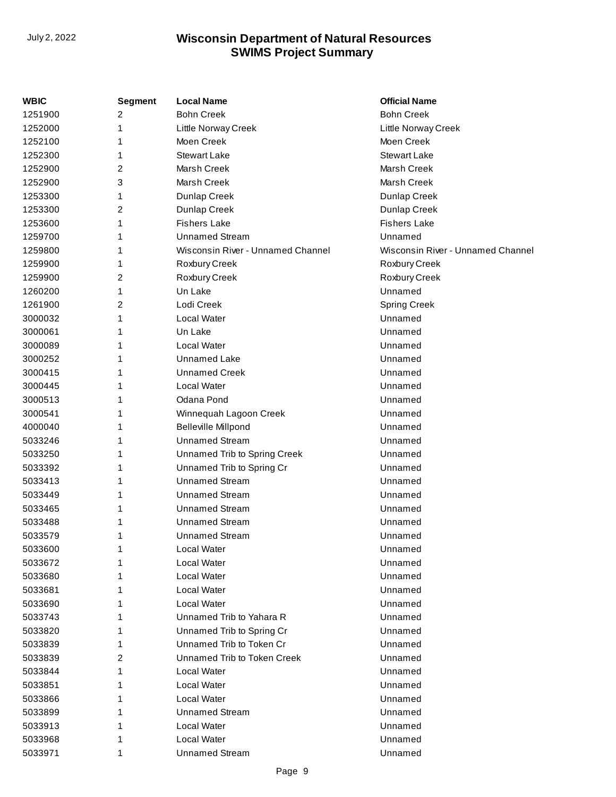| WBIC    | <b>Segment</b> | <b>Local Name</b>                 | <b>Official Name</b>              |
|---------|----------------|-----------------------------------|-----------------------------------|
| 1251900 | 2              | <b>Bohn Creek</b>                 | <b>Bohn Creek</b>                 |
| 1252000 | 1              | Little Norway Creek               | Little Norway Creek               |
| 1252100 |                | Moen Creek                        | Moen Creek                        |
| 1252300 | 1              | <b>Stewart Lake</b>               | <b>Stewart Lake</b>               |
| 1252900 | 2              | Marsh Creek                       | Marsh Creek                       |
| 1252900 | 3              | Marsh Creek                       | Marsh Creek                       |
| 1253300 | 1              | Dunlap Creek                      | Dunlap Creek                      |
| 1253300 | 2              | Dunlap Creek                      | Dunlap Creek                      |
| 1253600 | 1              | <b>Fishers Lake</b>               | <b>Fishers Lake</b>               |
| 1259700 | 1              | <b>Unnamed Stream</b>             | Unnamed                           |
| 1259800 |                | Wisconsin River - Unnamed Channel | Wisconsin River - Unnamed Channel |
| 1259900 | 1              | Roxbury Creek                     | Roxbury Creek                     |
| 1259900 | 2              | Roxbury Creek                     | Roxbury Creek                     |
| 1260200 | 1              | Un Lake                           | Unnamed                           |
| 1261900 | 2              | Lodi Creek                        | <b>Spring Creek</b>               |
| 3000032 | 1              | Local Water                       | Unnamed                           |
| 3000061 |                | Un Lake                           | Unnamed                           |
| 3000089 |                | Local Water                       | Unnamed                           |
| 3000252 |                | <b>Unnamed Lake</b>               | Unnamed                           |
| 3000415 | 1              | <b>Unnamed Creek</b>              | Unnamed                           |
| 3000445 |                | Local Water                       | Unnamed                           |
| 3000513 |                | Odana Pond                        | Unnamed                           |
| 3000541 |                | Winnequah Lagoon Creek            | Unnamed                           |
| 4000040 | 1              | <b>Belleville Millpond</b>        | Unnamed                           |
| 5033246 | 1              | <b>Unnamed Stream</b>             | Unnamed                           |
| 5033250 | 1              | Unnamed Trib to Spring Creek      | Unnamed                           |
| 5033392 |                | Unnamed Trib to Spring Cr         | Unnamed                           |
| 5033413 | 1              | <b>Unnamed Stream</b>             | Unnamed                           |
| 5033449 | 1              | <b>Unnamed Stream</b>             | Unnamed                           |
| 5033465 |                | <b>Unnamed Stream</b>             | Unnamed                           |
| 5033488 |                | <b>Unnamed Stream</b>             | Unnamed                           |
| 5033579 | 1              | <b>Unnamed Stream</b>             | Unnamed                           |
| 5033600 |                | Local Water                       | Unnamed                           |
| 5033672 |                | <b>Local Water</b>                | Unnamed                           |
| 5033680 |                | <b>Local Water</b>                | Unnamed                           |
| 5033681 |                | Local Water                       | Unnamed                           |
| 5033690 |                | Local Water                       | Unnamed                           |
| 5033743 |                | Unnamed Trib to Yahara R          | Unnamed                           |
| 5033820 |                | Unnamed Trib to Spring Cr         | Unnamed                           |
| 5033839 | 1              | Unnamed Trib to Token Cr          | Unnamed                           |
| 5033839 | 2              | Unnamed Trib to Token Creek       | Unnamed                           |
| 5033844 |                | Local Water                       | Unnamed                           |
| 5033851 |                | <b>Local Water</b>                | Unnamed                           |
| 5033866 |                | Local Water                       | Unnamed                           |
| 5033899 |                | <b>Unnamed Stream</b>             | Unnamed                           |
| 5033913 |                | Local Water                       | Unnamed                           |
| 5033968 |                | Local Water                       | Unnamed                           |
| 5033971 | 1              | <b>Unnamed Stream</b>             | Unnamed                           |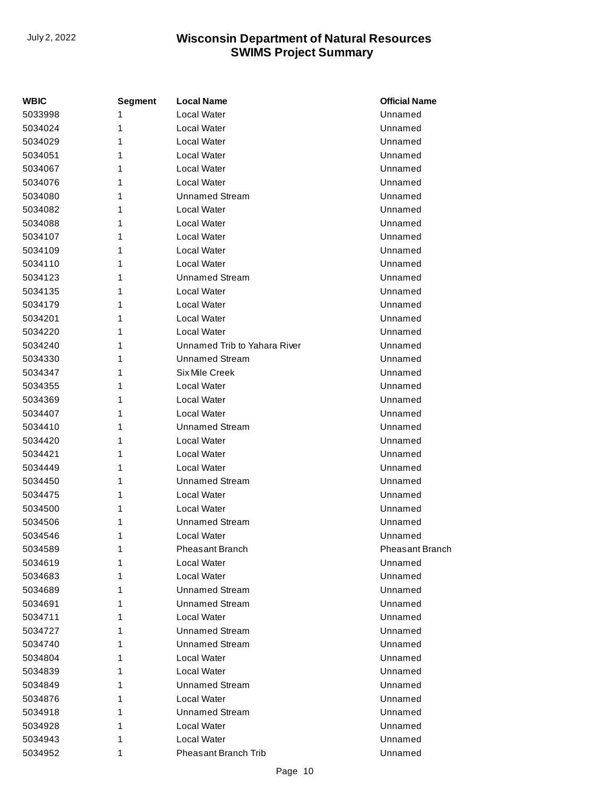| WBIC    | Segment | <b>Local Name</b>            | <b>Official Name</b> |
|---------|---------|------------------------------|----------------------|
| 5033998 | 1       | Local Water                  | Unnamed              |
| 5034024 | 1       | Local Water                  | Unnamed              |
| 5034029 | 1       | Local Water                  | Unnamed              |
| 5034051 | 1       | Local Water                  | Unnamed              |
| 5034067 | 1       | Local Water                  | Unnamed              |
| 5034076 | 1       | Local Water                  | Unnamed              |
| 5034080 | 1       | <b>Unnamed Stream</b>        | Unnamed              |
| 5034082 | 1       | Local Water                  | Unnamed              |
| 5034088 | 1       | Local Water                  | Unnamed              |
| 5034107 | 1       | Local Water                  | Unnamed              |
| 5034109 | 1       | Local Water                  | Unnamed              |
| 5034110 | 1       | Local Water                  | Unnamed              |
| 5034123 | 1       | <b>Unnamed Stream</b>        | Unnamed              |
| 5034135 | 1       | Local Water                  | Unnamed              |
| 5034179 | 1       | Local Water                  | Unnamed              |
| 5034201 | 1       | Local Water                  | Unnamed              |
| 5034220 | 1       | Local Water                  | Unnamed              |
| 5034240 | 1       | Unnamed Trib to Yahara River | Unnamed              |
| 5034330 | 1       | <b>Unnamed Stream</b>        | Unnamed              |
| 5034347 | 1       | Six Mile Creek               | Unnamed              |
| 5034355 | 1       | Local Water                  | Unnamed              |
| 5034369 | 1       | Local Water                  | Unnamed              |
| 5034407 | 1       | Local Water                  | Unnamed              |
| 5034410 | 1       | Unnamed Stream               | Unnamed              |
| 5034420 | 1       | Local Water                  | Unnamed              |
| 5034421 | 1       | Local Water                  | Unnamed              |
| 5034449 | 1       | Local Water                  | Unnamed              |
| 5034450 | 1       | Unnamed Stream               | Unnamed              |
| 5034475 | 1       | Local Water                  | Unnamed              |
| 5034500 | 1       | Local Water                  | Unnamed              |
| 5034506 | 1       | <b>Unnamed Stream</b>        | Unnamed              |
| 5034546 | 1       | Local Water                  | Unnamed              |
| 5034589 | 1       | Pheasant Branch              | Pheasant Branch      |
| 5034619 | 1       | Local Water                  | Unnamed              |
| 5034683 | 1       | Local Water                  | Unnamed              |
| 5034689 | 1       | Unnamed Stream               | Unnamed              |
| 5034691 | 1       | Unnamed Stream               | Unnamed              |
| 5034711 | 1       | Local Water                  | Unnamed              |
| 5034727 | 1       | Unnamed Stream               | Unnamed              |
| 5034740 | 1       | Unnamed Stream               | Unnamed              |
| 5034804 | 1       | Local Water                  | Unnamed              |
| 5034839 | 1       | Local Water                  | Unnamed              |
| 5034849 | 1       | <b>Unnamed Stream</b>        | Unnamed              |
| 5034876 | 1       | Local Water                  | Unnamed              |
| 5034918 | 1       | Unnamed Stream               | Unnamed              |
| 5034928 | 1       | Local Water                  | Unnamed              |
| 5034943 | 1       | Local Water                  | Unnamed              |
| 5034952 | 1       | <b>Pheasant Branch Trib</b>  | Unnamed              |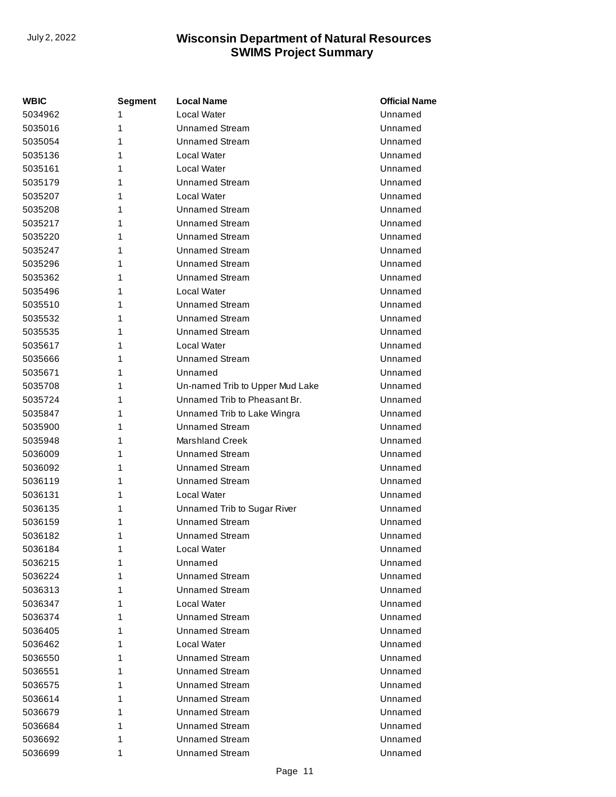| WBIC    | Segment | <b>Local Name</b>               | <b>Official Name</b> |
|---------|---------|---------------------------------|----------------------|
| 5034962 | 1       | Local Water                     | Unnamed              |
| 5035016 | 1       | <b>Unnamed Stream</b>           | Unnamed              |
| 5035054 | 1       | <b>Unnamed Stream</b>           | Unnamed              |
| 5035136 | 1       | Local Water                     | Unnamed              |
| 5035161 | 1       | Local Water                     | Unnamed              |
| 5035179 | 1       | Unnamed Stream                  | Unnamed              |
| 5035207 | 1       | Local Water                     | Unnamed              |
| 5035208 | 1       | <b>Unnamed Stream</b>           | Unnamed              |
| 5035217 | 1       | Unnamed Stream                  | Unnamed              |
| 5035220 | 1       | <b>Unnamed Stream</b>           | Unnamed              |
| 5035247 | 1       | <b>Unnamed Stream</b>           | Unnamed              |
| 5035296 | 1       | <b>Unnamed Stream</b>           | Unnamed              |
| 5035362 | 1       | Unnamed Stream                  | Unnamed              |
| 5035496 | 1       | <b>Local Water</b>              | Unnamed              |
| 5035510 | 1       | Unnamed Stream                  | Unnamed              |
| 5035532 | 1       | <b>Unnamed Stream</b>           | Unnamed              |
| 5035535 | 1       | Unnamed Stream                  | Unnamed              |
| 5035617 | 1       | Local Water                     | Unnamed              |
| 5035666 | 1       | <b>Unnamed Stream</b>           | Unnamed              |
| 5035671 | 1       | Unnamed                         | Unnamed              |
| 5035708 | 1       | Un-named Trib to Upper Mud Lake | Unnamed              |
| 5035724 | 1       | Unnamed Trib to Pheasant Br.    | Unnamed              |
| 5035847 | 1       | Unnamed Trib to Lake Wingra     | Unnamed              |
| 5035900 | 1       | <b>Unnamed Stream</b>           | Unnamed              |
| 5035948 | 1       | <b>Marshland Creek</b>          | Unnamed              |
| 5036009 | 1       | <b>Unnamed Stream</b>           | Unnamed              |
| 5036092 | 1       | <b>Unnamed Stream</b>           | Unnamed              |
| 5036119 | 1       | <b>Unnamed Stream</b>           | Unnamed              |
| 5036131 | 1       | Local Water                     | Unnamed              |
| 5036135 | 1       | Unnamed Trib to Sugar River     | Unnamed              |
| 5036159 | 1       | <b>Unnamed Stream</b>           | Unnamed              |
| 5036182 | 1       | <b>Unnamed Stream</b>           | Unnamed              |
| 5036184 | 1       | Local Water                     | Unnamed              |
| 5036215 | 1       | Unnamed                         | Unnamed              |
| 5036224 | 1       | Unnamed Stream                  | Unnamed              |
| 5036313 | 1       | Unnamed Stream                  | Unnamed              |
| 5036347 | 1       | Local Water                     | Unnamed              |
| 5036374 | 1       | <b>Unnamed Stream</b>           | Unnamed              |
| 5036405 | 1       | <b>Unnamed Stream</b>           | Unnamed              |
| 5036462 | 1       | Local Water                     | Unnamed              |
| 5036550 | 1       | Unnamed Stream                  | Unnamed              |
| 5036551 | 1       | <b>Unnamed Stream</b>           | Unnamed              |
| 5036575 | 1       | Unnamed Stream                  | Unnamed              |
| 5036614 | 1       | <b>Unnamed Stream</b>           | Unnamed              |
| 5036679 | 1       | <b>Unnamed Stream</b>           | Unnamed              |
| 5036684 | 1       | <b>Unnamed Stream</b>           | Unnamed              |
| 5036692 | 1       | <b>Unnamed Stream</b>           | Unnamed              |
| 5036699 | 1       | <b>Unnamed Stream</b>           | Unnamed              |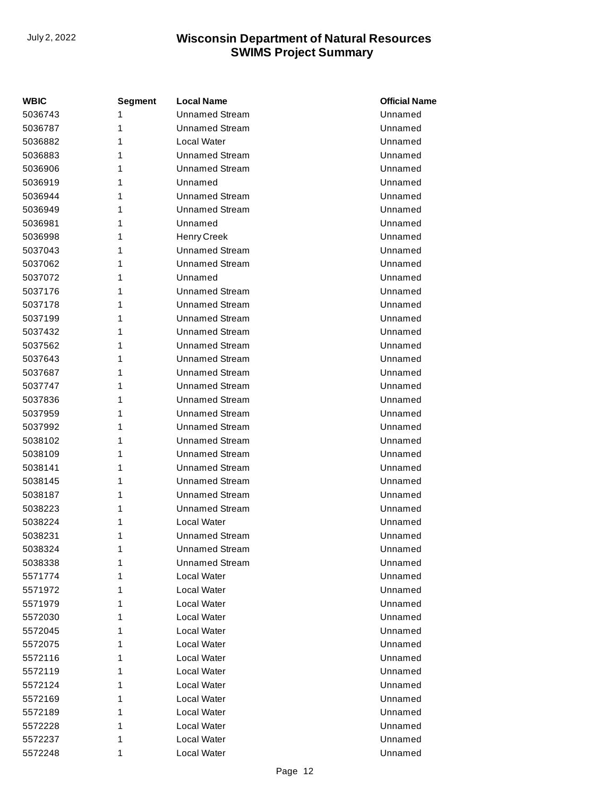| <b>WBIC</b> | Segment | <b>Local Name</b>     | <b>Official Name</b> |
|-------------|---------|-----------------------|----------------------|
| 5036743     | 1       | <b>Unnamed Stream</b> | Unnamed              |
| 5036787     | 1       | <b>Unnamed Stream</b> | Unnamed              |
| 5036882     | 1       | Local Water           | Unnamed              |
| 5036883     | 1       | <b>Unnamed Stream</b> | Unnamed              |
| 5036906     | 1       | <b>Unnamed Stream</b> | Unnamed              |
| 5036919     | 1       | Unnamed               | Unnamed              |
| 5036944     | 1       | <b>Unnamed Stream</b> | Unnamed              |
| 5036949     | 1       | <b>Unnamed Stream</b> | Unnamed              |
| 5036981     | 1       | Unnamed               | Unnamed              |
| 5036998     | 1       | <b>Henry Creek</b>    | Unnamed              |
| 5037043     | 1       | <b>Unnamed Stream</b> | Unnamed              |
| 5037062     | 1       | <b>Unnamed Stream</b> | Unnamed              |
| 5037072     | 1       | Unnamed               | Unnamed              |
| 5037176     | 1       | <b>Unnamed Stream</b> | Unnamed              |
| 5037178     | 1       | <b>Unnamed Stream</b> | Unnamed              |
| 5037199     | 1       | <b>Unnamed Stream</b> | Unnamed              |
| 5037432     | 1       | <b>Unnamed Stream</b> | Unnamed              |
| 5037562     | 1       | <b>Unnamed Stream</b> | Unnamed              |
| 5037643     | 1       | <b>Unnamed Stream</b> | Unnamed              |
| 5037687     | 1       | <b>Unnamed Stream</b> | Unnamed              |
| 5037747     | 1       | <b>Unnamed Stream</b> | Unnamed              |
| 5037836     | 1       | <b>Unnamed Stream</b> | Unnamed              |
| 5037959     | 1       | <b>Unnamed Stream</b> | Unnamed              |
| 5037992     | 1       | <b>Unnamed Stream</b> | Unnamed              |
| 5038102     | 1       | <b>Unnamed Stream</b> | Unnamed              |
| 5038109     | 1       | <b>Unnamed Stream</b> | Unnamed              |
| 5038141     | 1       | <b>Unnamed Stream</b> | Unnamed              |
| 5038145     | 1       | <b>Unnamed Stream</b> | Unnamed              |
| 5038187     | 1       | <b>Unnamed Stream</b> | Unnamed              |
| 5038223     | 1       | <b>Unnamed Stream</b> | Unnamed              |
| 5038224     | 1       | Local Water           | Unnamed              |
| 5038231     | 1       | <b>Unnamed Stream</b> | Unnamed              |
| 5038324     | 1       | <b>Unnamed Stream</b> | Unnamed              |
| 5038338     | 1       | <b>Unnamed Stream</b> | Unnamed              |
| 5571774     | 1       | Local Water           | Unnamed              |
| 5571972     | 1       | Local Water           | Unnamed              |
| 5571979     | 1       | Local Water           | Unnamed              |
| 5572030     | 1       | Local Water           | Unnamed              |
| 5572045     | 1       | Local Water           | Unnamed              |
| 5572075     | 1       | Local Water           | Unnamed              |
| 5572116     | 1       | Local Water           | Unnamed              |
| 5572119     | 1       | Local Water           | Unnamed              |
| 5572124     | 1       | Local Water           | Unnamed              |
| 5572169     | 1       | Local Water           | Unnamed              |
| 5572189     | 1       | Local Water           | Unnamed              |
| 5572228     | 1       | Local Water           | Unnamed              |
| 5572237     | 1       | Local Water           | Unnamed              |
| 5572248     | 1       | Local Water           | Unnamed              |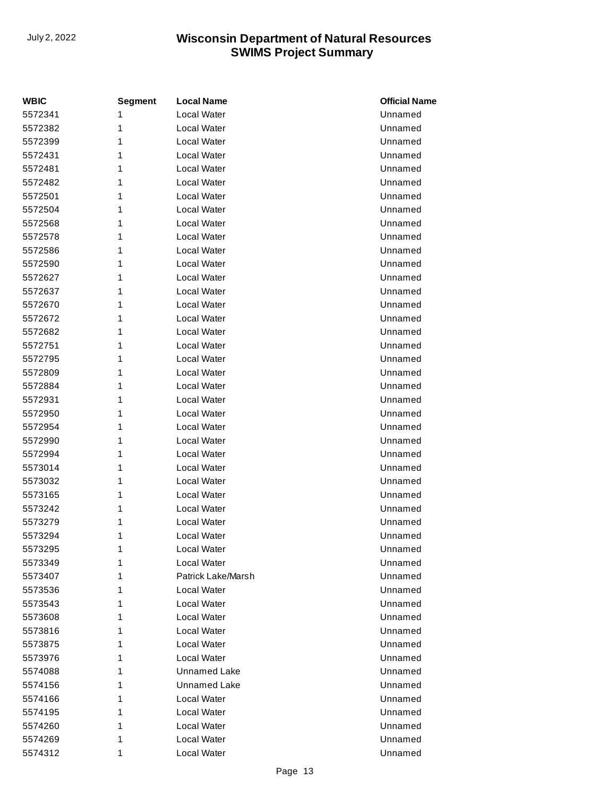| <b>WBIC</b> | <b>Segment</b> | <b>Local Name</b>   | <b>Official Name</b> |
|-------------|----------------|---------------------|----------------------|
| 5572341     | 1              | Local Water         | Unnamed              |
| 5572382     | 1              | Local Water         | Unnamed              |
| 5572399     | 1              | Local Water         | Unnamed              |
| 5572431     | 1              | Local Water         | Unnamed              |
| 5572481     | 1              | Local Water         | Unnamed              |
| 5572482     | 1              | Local Water         | Unnamed              |
| 5572501     | 1              | Local Water         | Unnamed              |
| 5572504     | 1              | Local Water         | Unnamed              |
| 5572568     | 1              | Local Water         | Unnamed              |
| 5572578     | 1              | Local Water         | Unnamed              |
| 5572586     | 1              | Local Water         | Unnamed              |
| 5572590     | 1              | Local Water         | Unnamed              |
| 5572627     | 1              | Local Water         | Unnamed              |
| 5572637     | 1              | Local Water         | Unnamed              |
| 5572670     | 1              | Local Water         | Unnamed              |
| 5572672     | 1              | Local Water         | Unnamed              |
| 5572682     | 1              | Local Water         | Unnamed              |
| 5572751     | 1              | Local Water         | Unnamed              |
| 5572795     | 1              | Local Water         | Unnamed              |
| 5572809     | 1              | Local Water         | Unnamed              |
| 5572884     | 1              | Local Water         | Unnamed              |
| 5572931     | 1              | Local Water         | Unnamed              |
| 5572950     | 1              | Local Water         | Unnamed              |
| 5572954     | 1              | Local Water         | Unnamed              |
| 5572990     | 1              | Local Water         | Unnamed              |
| 5572994     | 1              | Local Water         | Unnamed              |
| 5573014     | 1              | Local Water         | Unnamed              |
| 5573032     | 1              | Local Water         | Unnamed              |
| 5573165     | 1              | Local Water         | Unnamed              |
| 5573242     | 1              | Local Water         | Unnamed              |
| 5573279     | 1              | Local Water         | Unnamed              |
| 5573294     | 1              | Local Water         | Unnamed              |
| 5573295     | 1              | Local Water         | Unnamed              |
| 5573349     | 1              | Local Water         | Unnamed              |
| 5573407     | 1              | Patrick Lake/Marsh  | Unnamed              |
| 5573536     | 1              | Local Water         | Unnamed              |
| 5573543     | 1              | Local Water         | Unnamed              |
| 5573608     | 1              | Local Water         | Unnamed              |
| 5573816     | 1              | Local Water         | Unnamed              |
| 5573875     | 1              | Local Water         | Unnamed              |
| 5573976     | 1              | Local Water         | Unnamed              |
| 5574088     | 1              | <b>Unnamed Lake</b> | Unnamed              |
| 5574156     | 1              | <b>Unnamed Lake</b> | Unnamed              |
| 5574166     | 1              | Local Water         | Unnamed              |
| 5574195     | 1              | Local Water         | Unnamed              |
| 5574260     | 1              | Local Water         | Unnamed              |
| 5574269     | 1              | Local Water         | Unnamed              |
| 5574312     | 1              | Local Water         | Unnamed              |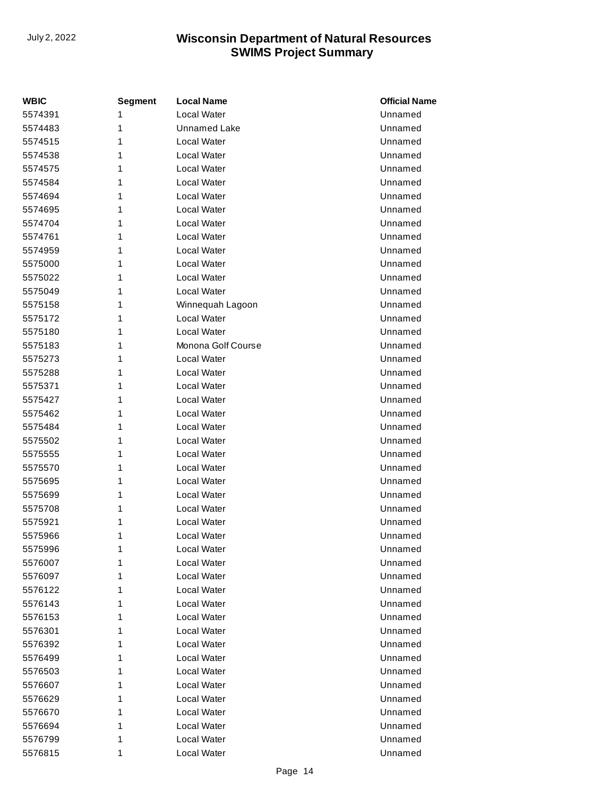| WBIC    | <b>Segment</b> | <b>Local Name</b>   | <b>Official Name</b> |
|---------|----------------|---------------------|----------------------|
| 5574391 | 1              | Local Water         | Unnamed              |
| 5574483 | 1              | <b>Unnamed Lake</b> | Unnamed              |
| 5574515 | 1              | Local Water         | Unnamed              |
| 5574538 | 1              | Local Water         | Unnamed              |
| 5574575 | 1              | Local Water         | Unnamed              |
| 5574584 | 1              | Local Water         | Unnamed              |
| 5574694 | 1              | Local Water         | Unnamed              |
| 5574695 | 1              | Local Water         | Unnamed              |
| 5574704 | 1              | Local Water         | Unnamed              |
| 5574761 | 1              | Local Water         | Unnamed              |
| 5574959 | 1              | Local Water         | Unnamed              |
| 5575000 | 1              | Local Water         | Unnamed              |
| 5575022 | 1              | Local Water         | Unnamed              |
| 5575049 | 1              | Local Water         | Unnamed              |
| 5575158 | 1              | Winnequah Lagoon    | Unnamed              |
| 5575172 | 1              | Local Water         | Unnamed              |
| 5575180 | 1              | Local Water         | Unnamed              |
| 5575183 | 1              | Monona Golf Course  | Unnamed              |
| 5575273 | 1              | Local Water         | Unnamed              |
| 5575288 | 1              | Local Water         | Unnamed              |
| 5575371 | 1              | Local Water         | Unnamed              |
| 5575427 | 1              | Local Water         | Unnamed              |
| 5575462 | 1              | Local Water         | Unnamed              |
| 5575484 | 1              | Local Water         | Unnamed              |
| 5575502 | 1              | Local Water         | Unnamed              |
| 5575555 | 1              | Local Water         | Unnamed              |
| 5575570 | 1              | Local Water         | Unnamed              |
| 5575695 | 1              | Local Water         | Unnamed              |
| 5575699 | 1              | Local Water         | Unnamed              |
| 5575708 | 1              | Local Water         | Unnamed              |
| 5575921 | 1              | Local Water         | Unnamed              |
| 5575966 | 1              | Local Water         | Unnamed              |
| 5575996 | 1              | Local Water         | Unnamed              |
| 5576007 | 1              | Local Water         | Unnamed              |
| 5576097 | 1              | Local Water         | Unnamed              |
| 5576122 | 1              | Local Water         | Unnamed              |
| 5576143 | 1              | Local Water         | Unnamed              |
| 5576153 | 1              | Local Water         | Unnamed              |
| 5576301 | 1              | Local Water         | Unnamed              |
| 5576392 | 1              | Local Water         | Unnamed              |
| 5576499 | 1              | Local Water         | Unnamed              |
| 5576503 | 1              | Local Water         | Unnamed              |
| 5576607 | 1              | Local Water         | Unnamed              |
| 5576629 | 1              | Local Water         | Unnamed              |
| 5576670 | 1              | Local Water         | Unnamed              |
| 5576694 | 1              | Local Water         | Unnamed              |
| 5576799 | 1              | Local Water         | Unnamed              |
| 5576815 | 1              | Local Water         | Unnamed              |